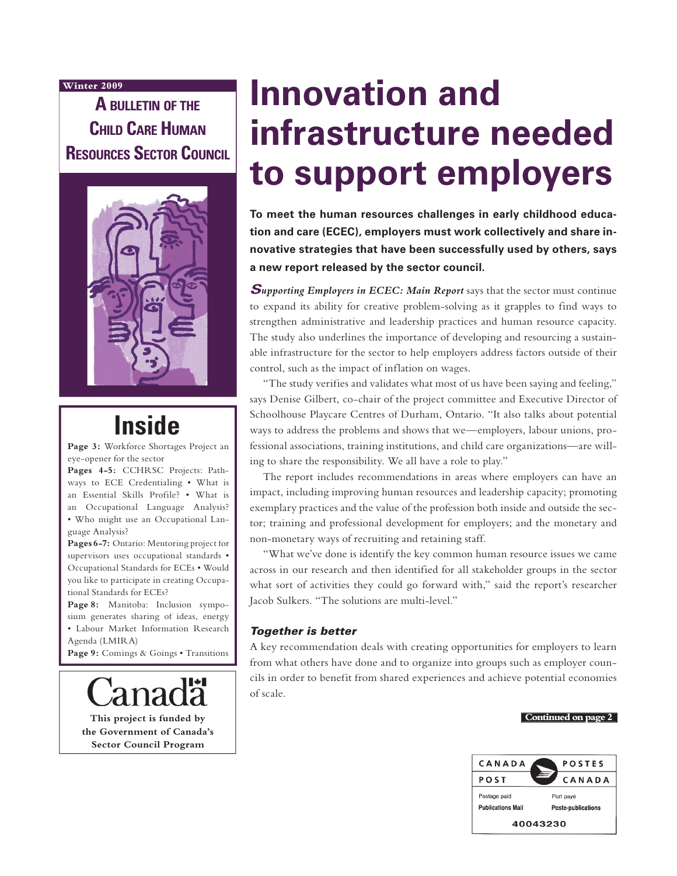#### **Winter 2009**

**A BULLETIN OF THE CHILD CARE HUMAN RESOURCES SECTOR COUNCIL**



# **Inside**

**Page 3:** Workforce Shortages Project an eye-opener for the sector

**Pages 4-5:** CCHRSC Projects: Pathways to ECE Credentialing • What is an Essential Skills Profile? • What is an Occupational Language Analysis? • Who might use an Occupational Language Analysis?

**Pages 6-7:** Ontario: Mentoring project for supervisors uses occupational standards • Occupational Standards for ECEs • Would you like to participate in creating Occupational Standards for ECEs?

Page 8: Manitoba: Inclusion symposium generates sharing of ideas, energy • Labour Market Information Research Agenda (LMIRA)

Page 9: Comings & Goings • Transitions

**This project is funded by the Government of Canada's Sector Council Program**

# **Innovation and infrastructure needed to support employers**

**To meet the human resources challenges in early childhood education and care (ECEC), employers must work collectively and share innovative strategies that have been successfully used by others, says a new report released by the sector council.**

**Supporting Employers in ECEC: Main Report** says that the sector must continue to expand its ability for creative problem-solving as it grapples to find ways to strengthen administrative and leadership practices and human resource capacity. The study also underlines the importance of developing and resourcing a sustainable infrastructure for the sector to help employers address factors outside of their control, such as the impact of inflation on wages.

"The study verifies and validates what most of us have been saying and feeling," says Denise Gilbert, co-chair of the project committee and Executive Director of Schoolhouse Playcare Centres of Durham, Ontario. "It also talks about potential ways to address the problems and shows that we—employers, labour unions, professional associations, training institutions, and child care organizations—are willing to share the responsibility. We all have a role to play."

The report includes recommendations in areas where employers can have an impact, including improving human resources and leadership capacity; promoting exemplary practices and the value of the profession both inside and outside the sector; training and professional development for employers; and the monetary and non-monetary ways of recruiting and retaining staff.

"What we've done is identify the key common human resource issues we came across in our research and then identified for all stakeholder groups in the sector what sort of activities they could go forward with," said the report's researcher Jacob Sulkers. "The solutions are multi-level."

#### Together is better

A key recommendation deals with creating opportunities for employers to learn from what others have done and to organize into groups such as employer councils in order to benefit from shared experiences and achieve potential economies of scale.

#### **Continued on page 2**

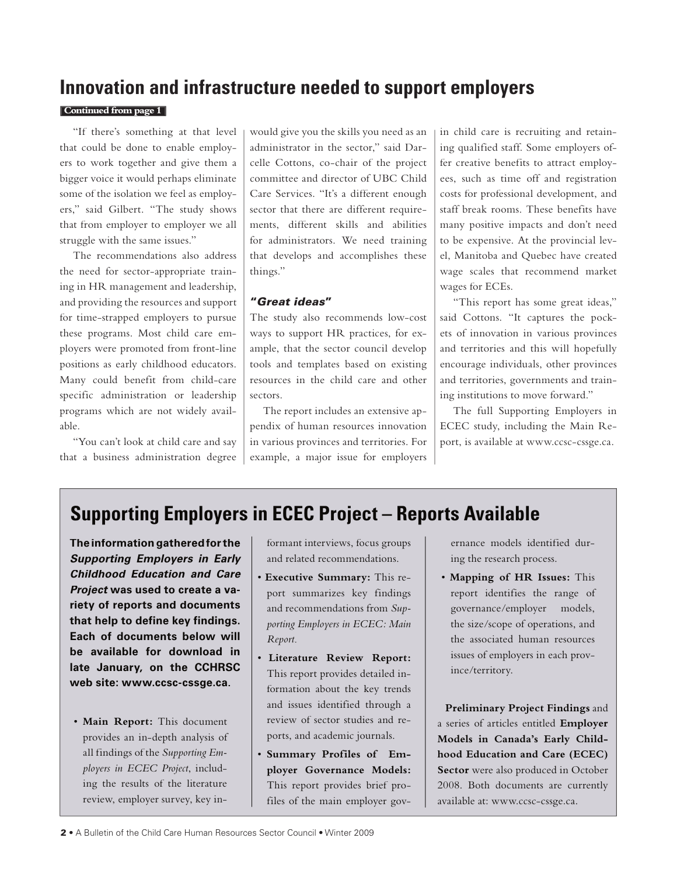### **Innovation and infrastructure needed to support employers**

#### **Continued from page 1**

"If there's something at that level that could be done to enable employers to work together and give them a bigger voice it would perhaps eliminate some of the isolation we feel as employers," said Gilbert. "The study shows that from employer to employer we all struggle with the same issues."

The recommendations also address the need for sector-appropriate training in HR management and leadership, and providing the resources and support for time-strapped employers to pursue these programs. Most child care employers were promoted from front-line positions as early childhood educators. Many could benefit from child-care specific administration or leadership programs which are not widely available.

"You can't look at child care and say that a business administration degree would give you the skills you need as an administrator in the sector," said Darcelle Cottons, co-chair of the project committee and director of UBC Child Care Services. "It's a different enough sector that there are different requirements, different skills and abilities for administrators. We need training that develops and accomplishes these things."

#### "Great ideas"

The study also recommends low-cost ways to support HR practices, for example, that the sector council develop tools and templates based on existing resources in the child care and other sectors.

The report includes an extensive appendix of human resources innovation in various provinces and territories. For example, a major issue for employers in child care is recruiting and retaining qualified staff. Some employers offer creative benefits to attract employees, such as time off and registration costs for professional development, and staff break rooms. These benefits have many positive impacts and don't need to be expensive. At the provincial level, Manitoba and Quebec have created wage scales that recommend market wages for ECEs.

"This report has some great ideas," said Cottons. "It captures the pockets of innovation in various provinces and territories and this will hopefully encourage individuals, other provinces and territories, governments and training institutions to move forward."

The full Supporting Employers in ECEC study, including the Main Report, is available at www.ccsc-cssge.ca.

### **Supporting Employers in ECEC Project – Reports Available**

**The information gathered for the Supporting Employers in Early Childhood Education and Care Project was used to create a va- variety of reports and documents that help to define key findings. Each of documents below will be available for download in late January, on the CCHRSC web site: www.ccsc-cssge.ca.**

• **Main Report:** This document provides an in-depth analysis of all findings of the *Supporting Employers in ECEC Project*, including the results of the literature review, employer survey, key informant interviews, focus groups and related recommendations.

- **Executive Summary:** This report summarizes key findings and recommendations from *Supporting Employers in ECEC: Main Report*.
- **Literature Review Report:** This report provides detailed information about the key trends and issues identified through a review of sector studies and reports, and academic journals.
- **Summary Profiles of Employer Governance Models:** This report provides brief profiles of the main employer gov-

ernance models identified during the research process.

• **Mapping of HR Issues:** This report identifies the range of governance/employer models, the size/scope of operations, and the associated human resources issues of employers in each province/territory.

**Preliminary Project Findings** and a series of articles entitled **Employer Models in Canada's Early Childhood Education and Care (ECEC) Sector** were also produced in October 2008. Both documents are currently available at: www.ccsc-cssge.ca.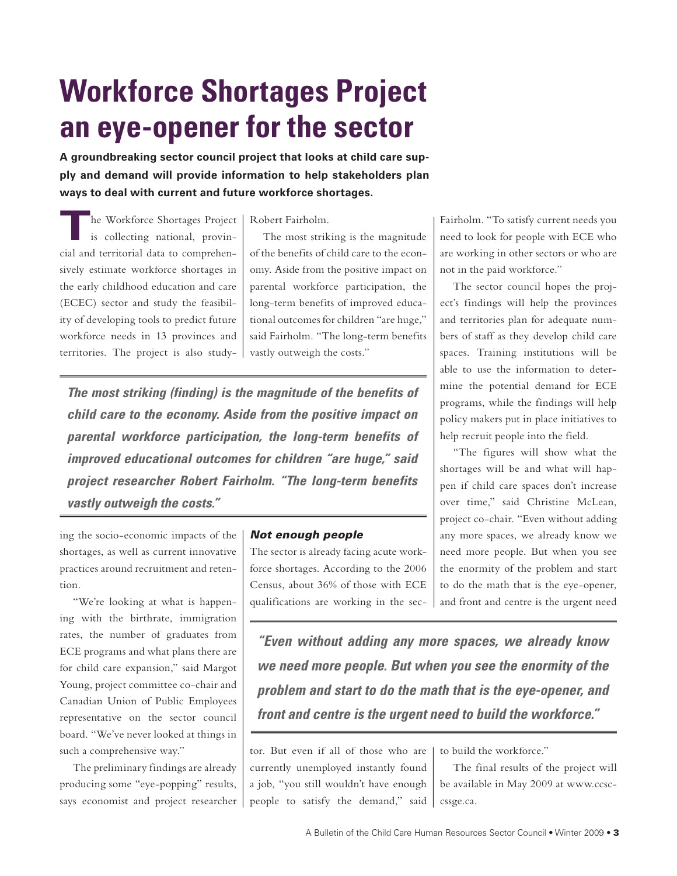# **Workforce Shortages Project an eye-opener for the sector**

**A groundbreaking sector council project that looks at child care supply and demand will provide information to help stakeholders plan ways to deal with current and future workforce shortages.**

**T**he Workforce Shortages Project is collecting national, provincial and territorial data to comprehensively estimate workforce shortages in the early childhood education and care (ECEC) sector and study the feasibility of developing tools to predict future workforce needs in 13 provinces and territories. The project is also study-

Robert Fairholm.

The most striking is the magnitude of the benefits of child care to the economy. Aside from the positive impact on parental workforce participation, the long-term benefits of improved educational outcomes for children "are huge," said Fairholm. "The long-term benefits vastly outweigh the costs."

**The most striking (finding) is the magnitude of the benefits of child care to the economy. Aside from the positive impact on parental workforce participation, the long-term benefits of improved educational outcomes for children "are huge," said project researcher Robert Fairholm. "The long-term benefits vastly outweigh the costs."**

ing the socio-economic impacts of the shortages, as well as current innovative practices around recruitment and retention.

"We're looking at what is happening with the birthrate, immigration rates, the number of graduates from ECE programs and what plans there are for child care expansion," said Margot Young, project committee co-chair and Canadian Union of Public Employees representative on the sector council board. "We've never looked at things in such a comprehensive way."

The preliminary findings are already producing some "eye-popping" results, says economist and project researcher

#### Not enough people

The sector is already facing acute workforce shortages. According to the 2006 Census, about 36% of those with ECE qualifications are working in the secFairholm. "To satisfy current needs you need to look for people with ECE who are working in other sectors or who are not in the paid workforce."

The sector council hopes the project's findings will help the provinces and territories plan for adequate numbers of staff as they develop child care spaces. Training institutions will be able to use the information to determine the potential demand for ECE programs, while the findings will help policy makers put in place initiatives to help recruit people into the field.

"The figures will show what the shortages will be and what will happen if child care spaces don't increase over time," said Christine McLean, project co-chair. "Even without adding any more spaces, we already know we need more people. But when you see the enormity of the problem and start to do the math that is the eye-opener, and front and centre is the urgent need

**"Even without adding any more spaces, we already know we need more people. But when you see the enormity of the problem and start to do the math that is the eye-opener, and front and centre is the urgent need to build the workforce."**

tor. But even if all of those who are currently unemployed instantly found a job, "you still wouldn't have enough people to satisfy the demand," said to build the workforce."

The final results of the project will be available in May 2009 at www.ccsccssge.ca.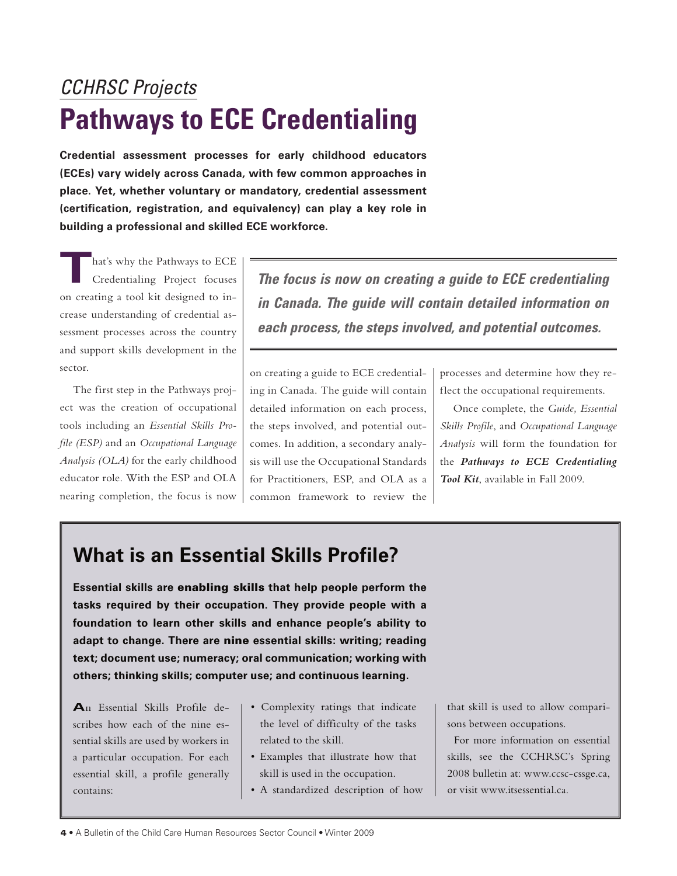# CCHRSC Projects **Pathways to ECE Credentialing**

**Credential assessment processes for early childhood educators (ECEs) vary widely across Canada, with few common approaches in place. Yet, whether voluntary or mandatory, credential assessment (certification, registration, and equivalency) can play a key role in building a professional and skilled ECE workforce.**

hat's why the Pathways to ECE Credentialing Project focuses on creating a tool kit designed to increase understanding of credential assessment processes across the country and support skills development in the sector.

The first step in the Pathways project was the creation of occupational tools including an *Essential Skills Profile (ESP)* and an *Occupational Language Analysis (OLA)* for the early childhood educator role. With the ESP and OLA nearing completion, the focus is now

**The focus is now on creating a guide to ECE credentialing in Canada. The guide will contain detailed information on each process, the steps involved, and potential outcomes.** 

on creating a guide to ECE credentialing in Canada. The guide will contain detailed information on each process, the steps involved, and potential outcomes. In addition, a secondary analysis will use the Occupational Standards for Practitioners, ESP, and OLA as a common framework to review the processes and determine how they reflect the occupational requirements.

Once complete, the *Guide, Essential Skills Profile*, and *Occupational Language Analysis* will form the foundation for the *Pathways to ECE Credentialing Tool Kit*, available in Fall 2009.

## **What is an Essential Skills Profile?**

**Essential skills are** enabling skills **that help people perform the tasks required by their occupation. They provide people with a foundation to learn other skills and enhance people's ability to adapt to change. There are** nine **essential skills: writing; reading text; document use; numeracy; oral communication; working with others; thinking skills; computer use; and continuous learning.** 

**A**n Essential Skills Profile describes how each of the nine essential skills are used by workers in a particular occupation. For each essential skill, a profile generally contains:

- Complexity ratings that indicate the level of difficulty of the tasks related to the skill.
- Examples that illustrate how that skill is used in the occupation.
- A standardized description of how

that skill is used to allow comparisons between occupations.

For more information on essential skills, see the CCHRSC's Spring 2008 bulletin at: www.ccsc-cssge.ca, or visit www.itsessential.ca.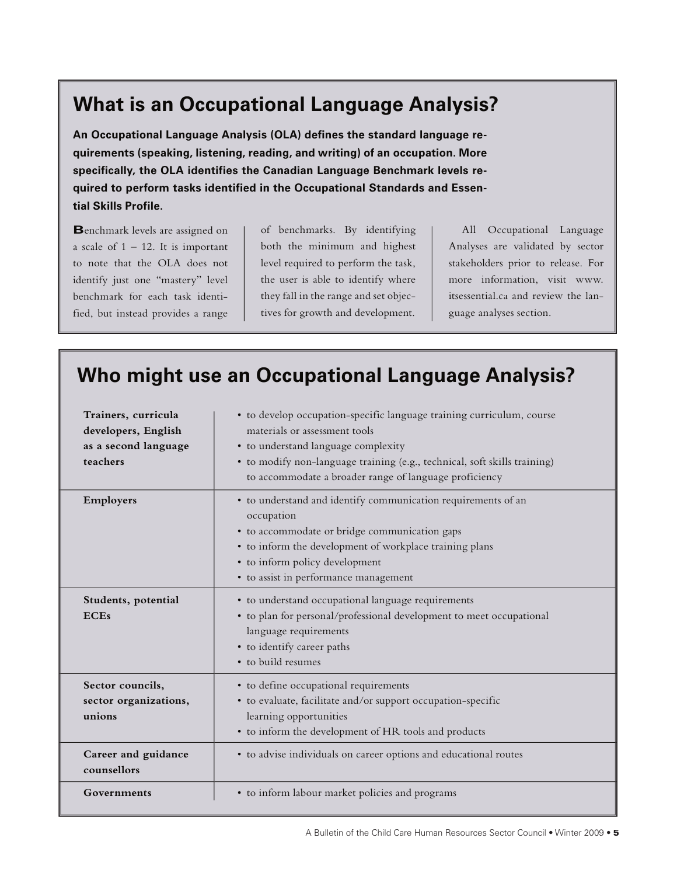### **What is an Occupational Language Analysis?**

**An Occupational Language Analysis (OLA) defines the standard language requirements (speaking, listening, reading, and writing) of an occupation. More specifically, the OLA identifies the Canadian Language Benchmark levels required to perform tasks identified in the Occupational Standards and Essential Skills Profile.** 

**B**enchmark levels are assigned on a scale of  $1 - 12$ . It is important to note that the OLA does not identify just one "mastery" level benchmark for each task identified, but instead provides a range

of benchmarks. By identifying both the minimum and highest level required to perform the task, the user is able to identify where they fall in the range and set objectives for growth and development.

All Occupational Language Analyses are validated by sector stakeholders prior to release. For more information, visit www. itsessential.ca and review the language analyses section.

## **Who might use an Occupational Language Analysis?**

| Trainers, curricula<br>developers, English<br>as a second language<br>teachers | • to develop occupation-specific language training curriculum, course<br>materials or assessment tools<br>• to understand language complexity<br>· to modify non-language training (e.g., technical, soft skills training)<br>to accommodate a broader range of language proficiency |
|--------------------------------------------------------------------------------|--------------------------------------------------------------------------------------------------------------------------------------------------------------------------------------------------------------------------------------------------------------------------------------|
| Employers                                                                      | • to understand and identify communication requirements of an<br>occupation<br>• to accommodate or bridge communication gaps<br>• to inform the development of workplace training plans<br>• to inform policy development<br>• to assist in performance management                   |
| Students, potential<br><b>ECEs</b>                                             | · to understand occupational language requirements<br>• to plan for personal/professional development to meet occupational<br>language requirements<br>• to identify career paths<br>• to build resumes                                                                              |
| Sector councils,<br>sector organizations,<br>unions                            | • to define occupational requirements<br>• to evaluate, facilitate and/or support occupation-specific<br>learning opportunities<br>• to inform the development of HR tools and products                                                                                              |
| Career and guidance<br>counsellors                                             | • to advise individuals on career options and educational routes                                                                                                                                                                                                                     |
| Governments                                                                    | • to inform labour market policies and programs                                                                                                                                                                                                                                      |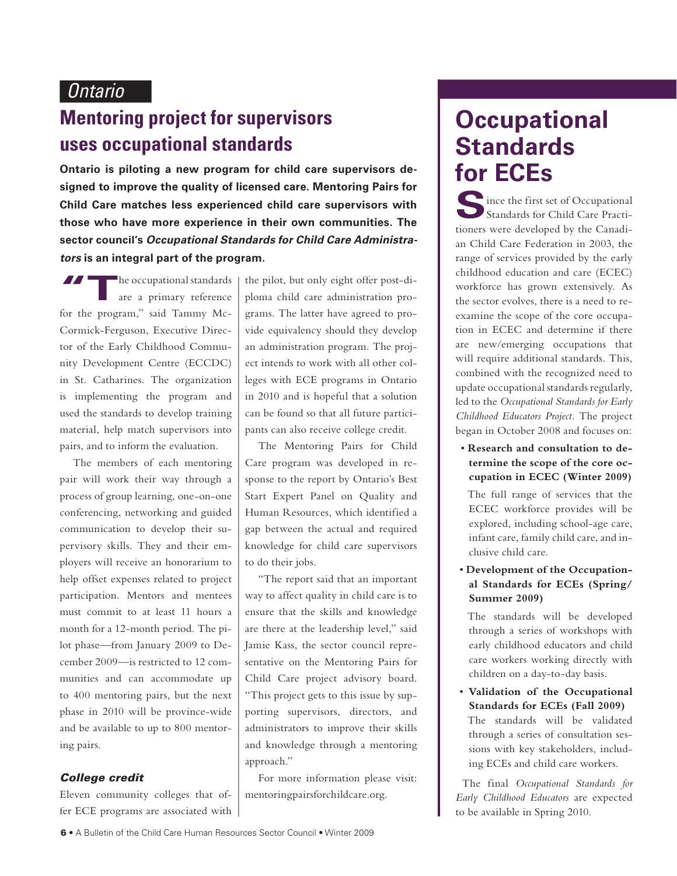### **Mentoring project for supervisors uses occupational standards**

**Ontario is piloting a new program for child care supervisors de- for ECES signed to improve the quality of licensed care. Mentoring Pairs for Child Care matches less experienced child care supervisors with those who have more experience in their own communities. The sector council's Occupational Standards for Child Care Administrators is an integral part of the program. program.**

THE OCCUPATION OF THE PIO for the program," said Tammy Mc-Cormick-Ferguson, Executive Director of the Early Childhood Community Development Centre (ECCDC) in St. Catharines. The organization is implementing the program and used the standards to develop training material, help match supervisors into pairs, and to inform the evaluation.

The members of each mentoring pair will work their way through a process of group learning, one-on-one conferencing, networking and guided communication to develop their supervisory skills. They and their employers will receive an honorarium to help offset expenses related to project participation. Mentors and mentees must commit to at least 11 hours a month for a 12-month period. The pilot phase—from January 2009 to December 2009—is restricted to 12 communities and can accommodate up to 400 mentoring pairs, but the next phase in 2010 will be province-wide and be available to up to 800 mentoring pairs.

#### College credit

Eleven community colleges that offer ECE programs are associated with

the pilot, but only eight offer post-diploma child care administration programs. The latter have agreed to provide equivalency should they develop an administration program. The project intends to work with all other colleges with ECE programs in Ontario in 2010 and is hopeful that a solution can be found so that all future participants can also receive college credit.

The Mentoring Pairs for Child Care program was developed in response to the report by Ontario's Best Start Expert Panel on Quality and Human Resources, which identified a gap between the actual and required knowledge for child care supervisors to do their jobs.

"The report said that an important way to affect quality in child care is to ensure that the skills and knowledge are there at the leadership level," said Jamie Kass, the sector council representative on the Mentoring Pairs for Child Care project advisory board. "This project gets to this issue by supporting supervisors, directors, and administrators to improve their skills and knowledge through a mentoring approach."

For more information please visit: mentoringpairsforchildcare.org.

# **Occupational Standards**

 $\blacksquare$  ince the first set of Occupational Standards for Child Care Practitioners were developed by the Canadian Child Care Federation in 2003, the range of services provided by the early childhood education and care (ECEC) workforce has grown extensively. As the sector evolves, there is a need to reexamine the scope of the core occupation in ECEC and determine if there are new/emerging occupations that will require additional standards. This, combined with the recognized need to update occupational standards regularly, led to the *Occupational Standards for Early Childhood Educators Project.* The project began in October 2008 and focuses on:

• **Research and consultation to determine the scope of the core occupation in ECEC (Winter 2009)**

The full range of services that the ECEC workforce provides will be explored, including school-age care, infant care, family child care, and inclusive child care.

• **Development of the Occupational Standards for ECEs (Spring/ Summer 2009)**

The standards will be developed through a series of workshops with early childhood educators and child care workers working directly with children on a day-to-day basis.

• **Validation of the Occupational Standards for ECEs (Fall 2009)**  The standards will be validated through a series of consultation sessions with key stakeholders, including ECEs and child care workers.

The final *Occupational Standards for Early Childhood Educators* are expected to be available in Spring 2010.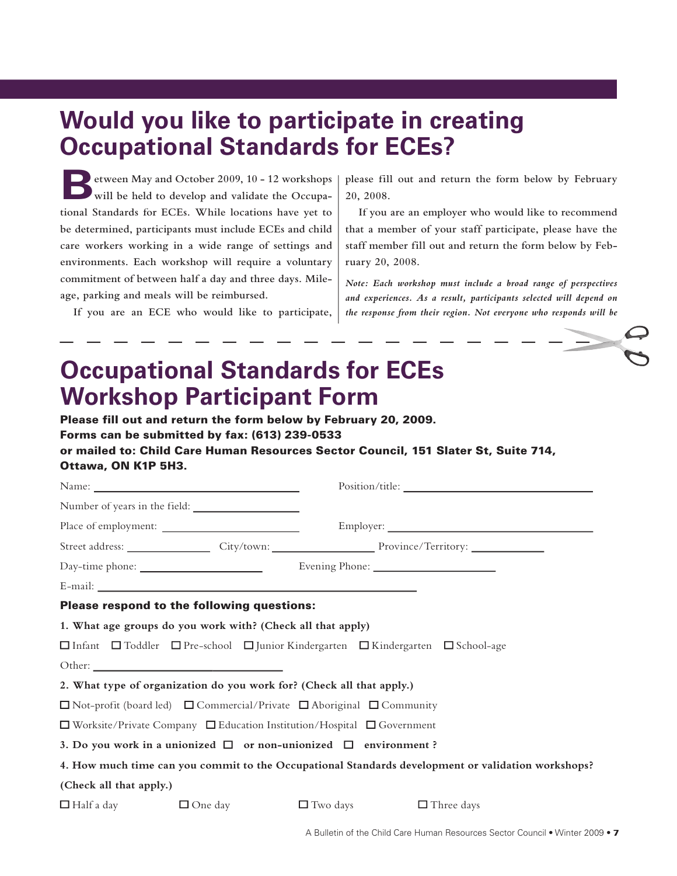# **Would you like to participate in creating Occupational Standards for ECEs?**

**Between May and October 2009, 10 - 12 workshops**  will be held to develop and validate the Occupa**tional Standards for ECEs. While locations have yet to be determined, participants must include ECEs and child care workers working in a wide range of settings and environments. Each workshop will require a voluntary commitment of between half a day and three days. Mileage, parking and meals will be reimbursed.** 

**If you are an ECE who would like to participate,** 

**please fill out and return the form below by February 20, 2008.** 

**If you are an employer who would like to recommend that a member of your staff participate, please have the staff member fill out and return the form below by February 20, 2008.** 

*Note: Each workshop must include a broad range of perspectives and experiences. As a result, participants selected will depend on the response from their region. Not everyone who responds will be* 

# **Occupational Standards for ECEs Workshop Participant Form**

Please fill out and return the form below by February 20, 2009. Forms can be submitted by fax: (613) 239-0533 or mailed to: Child Care Human Resources Sector Council, 151 Slater St, Suite 714, Ottawa, ON K1P 5H3.

|                                                                                                                 |                |                 | Position/title:                                                                                    |  |  |
|-----------------------------------------------------------------------------------------------------------------|----------------|-----------------|----------------------------------------------------------------------------------------------------|--|--|
| Number of years in the field:                                                                                   |                |                 |                                                                                                    |  |  |
| Place of employment:                                                                                            |                |                 |                                                                                                    |  |  |
|                                                                                                                 |                |                 | Street address: City/town: City/town: Province/Territory:                                          |  |  |
|                                                                                                                 |                |                 | Evening Phone: 2008                                                                                |  |  |
|                                                                                                                 |                |                 |                                                                                                    |  |  |
| Please respond to the following questions:                                                                      |                |                 |                                                                                                    |  |  |
| 1. What age groups do you work with? (Check all that apply)                                                     |                |                 |                                                                                                    |  |  |
| $\Box$ Infant $\Box$ Toddler $\Box$ Pre-school $\Box$ Junior Kindergarten $\Box$ Kindergarten $\Box$ School-age |                |                 |                                                                                                    |  |  |
|                                                                                                                 |                |                 |                                                                                                    |  |  |
| 2. What type of organization do you work for? (Check all that apply.)                                           |                |                 |                                                                                                    |  |  |
| $\Box$ Not-profit (board led) $\Box$ Commercial/Private $\Box$ Aboriginal $\Box$ Community                      |                |                 |                                                                                                    |  |  |
| $\Box$ Worksite/Private Company $\Box$ Education Institution/Hospital $\Box$ Government                         |                |                 |                                                                                                    |  |  |
| 3. Do you work in a unionized $\Box$ or non-unionized $\Box$ environment?                                       |                |                 |                                                                                                    |  |  |
|                                                                                                                 |                |                 | 4. How much time can you commit to the Occupational Standards development or validation workshops? |  |  |
| (Check all that apply.)                                                                                         |                |                 |                                                                                                    |  |  |
| $\Box$ Half a day                                                                                               | $\Box$ One day | $\Box$ Two days | $\Box$ Three days                                                                                  |  |  |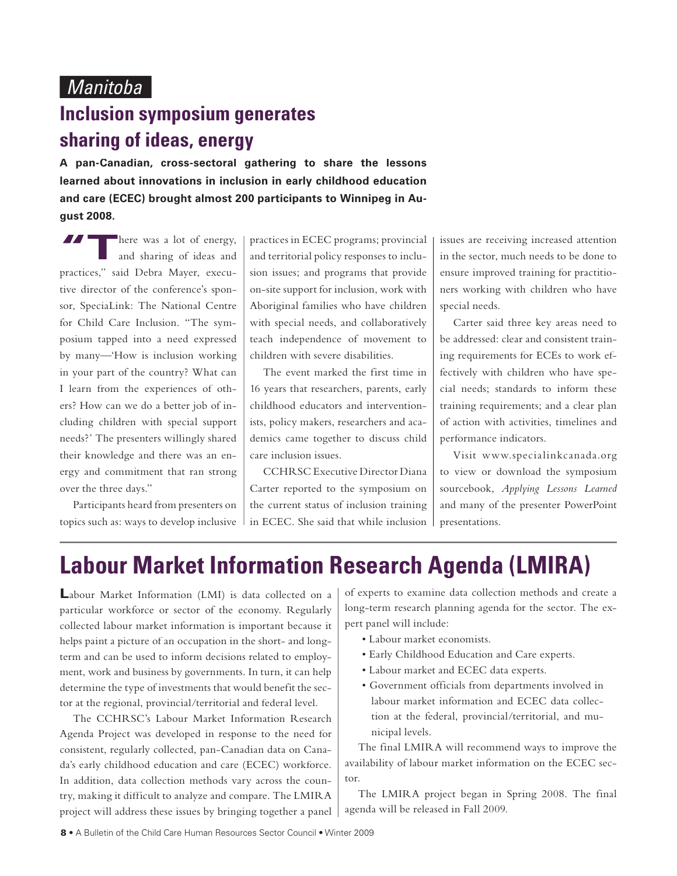## **Inclusion symposium generates sharing of ideas, energy**

**A pan-Canadian, cross-sectoral gathering to share the lessons learned about innovations in inclusion in early childhood education and care (ECEC) brought almost 200 participants to Winnipeg in August 2008.**

There was a lot of energy,<br>
and sharing of ideas and practices," said Debra Mayer, executive director of the conference's sponsor, SpeciaLink: The National Centre for Child Care Inclusion. "The symposium tapped into a need expressed by many—'How is inclusion working in your part of the country? What can I learn from the experiences of others? How can we do a better job of including children with special support needs?' The presenters willingly shared their knowledge and there was an energy and commitment that ran strong over the three days."

Participants heard from presenters on topics such as: ways to develop inclusive practices in ECEC programs; provincial and territorial policy responses to inclusion issues; and programs that provide on-site support for inclusion, work with Aboriginal families who have children with special needs, and collaboratively teach independence of movement to children with severe disabilities.

The event marked the first time in 16 years that researchers, parents, early childhood educators and interventionists, policy makers, researchers and academics came together to discuss child care inclusion issues.

CCHRSC Executive Director Diana Carter reported to the symposium on the current status of inclusion training in ECEC. She said that while inclusion issues are receiving increased attention in the sector, much needs to be done to ensure improved training for practitioners working with children who have special needs.

Carter said three key areas need to be addressed: clear and consistent training requirements for ECEs to work effectively with children who have special needs; standards to inform these training requirements; and a clear plan of action with activities, timelines and performance indicators.

Visit www.specialinkcanada.org to view or download the symposium sourcebook, *Applying Lessons Learned*  and many of the presenter PowerPoint presentations.

# **Labour Market Information Research Agenda (LMIRA)**

**L**abour Market Information (LMI) is data collected on a particular workforce or sector of the economy. Regularly collected labour market information is important because it helps paint a picture of an occupation in the short- and longterm and can be used to inform decisions related to employment, work and business by governments. In turn, it can help determine the type of investments that would benefit the sector at the regional, provincial/territorial and federal level.

The CCHRSC's Labour Market Information Research Agenda Project was developed in response to the need for consistent, regularly collected, pan-Canadian data on Canada's early childhood education and care (ECEC) workforce. In addition, data collection methods vary across the country, making it difficult to analyze and compare. The LMIRA project will address these issues by bringing together a panel

of experts to examine data collection methods and create a long-term research planning agenda for the sector. The expert panel will include:

- Labour market economists.
- Early Childhood Education and Care experts.
- Labour market and ECEC data experts.
- Government officials from departments involved in labour market information and ECEC data collection at the federal, provincial/territorial, and municipal levels.

The final LMIRA will recommend ways to improve the availability of labour market information on the ECEC sector.

The LMIRA project began in Spring 2008. The final agenda will be released in Fall 2009.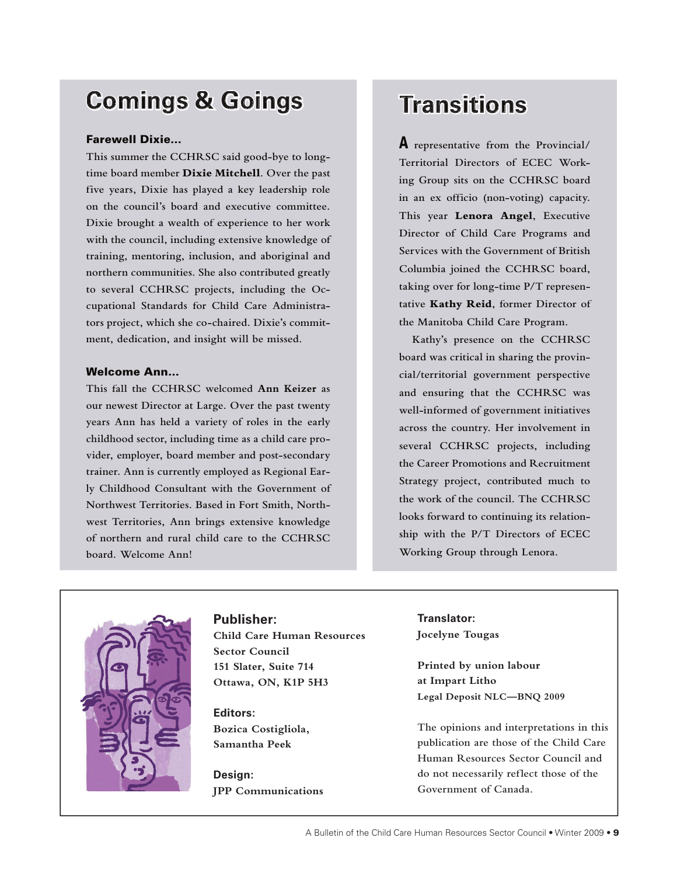# **Comings & Goings**

#### Farewell Dixie…

**This summer the CCHRSC said good-bye to longtime board member Dixie Mitchell. Over the past five years, Dixie has played a key leadership role on the council's board and executive committee. Dixie brought a wealth of experience to her work with the council, including extensive knowledge of training, mentoring, inclusion, and aboriginal and northern communities. She also contributed greatly to several CCHRSC projects, including the Occupational Standards for Child Care Administrators project, which she co-chaired. Dixie's commitment, dedication, and insight will be missed.**

#### Welcome Ann…

**This fall the CCHRSC welcomed Ann Keizer as our newest Director at Large. Over the past twenty years Ann has held a variety of roles in the early childhood sector, including time as a child care provider, employer, board member and post-secondary trainer. Ann is currently employed as Regional Early Childhood Consultant with the Government of Northwest Territories. Based in Fort Smith, Northwest Territories, Ann brings extensive knowledge of northern and rural child care to the CCHRSC board. Welcome Ann!**

## **Transitions**

A **representative from the Provincial/ Territorial Directors of ECEC Working Group sits on the CCHRSC board in an ex officio (non-voting) capacity. This year Lenora Angel, Executive Director of Child Care Programs and Services with the Government of British Columbia joined the CCHRSC board, taking over for long-time P/T representative Kathy Reid, former Director of the Manitoba Child Care Program.** 

**Kathy's presence on the CCHRSC board was critical in sharing the provincial/territorial government perspective and ensuring that the CCHRSC was well-informed of government initiatives across the country. Her involvement in several CCHRSC projects, including the Career Promotions and Recruitment Strategy project, contributed much to the work of the council. The CCHRSC looks forward to continuing its relationship with the P/T Directors of ECEC Working Group through Lenora.**



### **Publisher:**

**Child Care Human Resources Sector Council 151 Slater, Suite 714 Ottawa, ON, K1P 5H3**

**Editors: Bozica Costigliola, Samantha Peek**

**Design: JPP Communications**

**Translator: Jocelyne Tougas**

**Printed by union labour at Impart Litho Legal Deposit NLC—BNQ 2009**

**The opinions and interpretations in this publication are those of the Child Care Human Resources Sector Council and do not necessarily reflect those of the Government of Canada.**